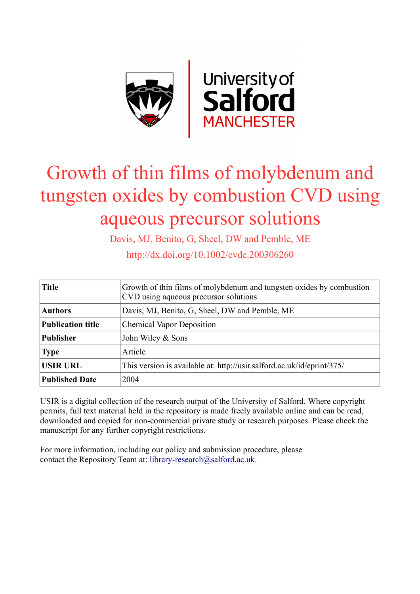

# Growth of thin films of molybdenum and tungsten oxides by combustion CVD using aqueous precursor solutions

Davis, MJ, Benito, G, Sheel, DW and Pemble, ME

http://dx.doi.org/10.1002/cvde.200306260

| <b>Title</b>             | Growth of thin films of molybdenum and tungsten oxides by combustion<br>CVD using aqueous precursor solutions |  |  |
|--------------------------|---------------------------------------------------------------------------------------------------------------|--|--|
| <b>Authors</b>           | Davis, MJ, Benito, G, Sheel, DW and Pemble, ME                                                                |  |  |
| <b>Publication title</b> | <b>Chemical Vapor Deposition</b>                                                                              |  |  |
| <b>Publisher</b>         | John Wiley & Sons                                                                                             |  |  |
| <b>Type</b>              | Article                                                                                                       |  |  |
| <b>USIR URL</b>          | This version is available at: http://usir.salford.ac.uk/id/eprint/375/                                        |  |  |
| <b>Published Date</b>    | 2004                                                                                                          |  |  |

USIR is a digital collection of the research output of the University of Salford. Where copyright permits, full text material held in the repository is made freely available online and can be read, downloaded and copied for non-commercial private study or research purposes. Please check the manuscript for any further copyright restrictions.

For more information, including our policy and submission procedure, please contact the Repository Team at: [library-research@salford.ac.uk.](mailto:library-research@salford.ac.uk)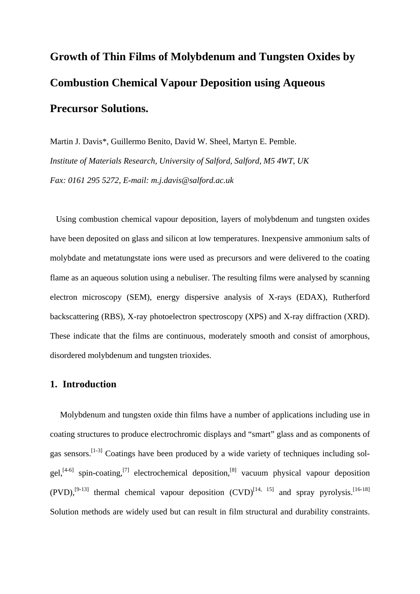## **Growth of Thin Films of Molybdenum and Tungsten Oxides by Combustion Chemical Vapour Deposition using Aqueous Precursor Solutions.**

Martin J. Davis\*, Guillermo Benito, David W. Sheel, Martyn E. Pemble. *Institute of Materials Research, University of Salford, Salford, M5 4WT, UK Fax: 0161 295 5272, E-mail: m.j.davis@salford.ac.uk* 

Using combustion chemical vapour deposition, layers of molybdenum and tungsten oxides have been deposited on glass and silicon at low temperatures. Inexpensive ammonium salts of molybdate and metatungstate ions were used as precursors and were delivered to the coating flame as an aqueous solution using a nebuliser. The resulting films were analysed by scanning electron microscopy (SEM), energy dispersive analysis of X-rays (EDAX), Rutherford backscattering (RBS), X-ray photoelectron spectroscopy (XPS) and X-ray diffraction (XRD). These indicate that the films are continuous, moderately smooth and consist of amorphous, disordered molybdenum and tungsten trioxides.

## **1. Introduction**

Molybdenum and tungsten oxide thin films have a number of applications including use in coating structures to produce electrochromic displays and "smart" glass and as components of gas sensors.<sup>[1-3]</sup> Coatings have been produced by a wide variety of techniques including solgel,<sup>[4-6]</sup> spin-coating,<sup>[7]</sup> electrochemical deposition,<sup>[8]</sup> vacuum physical vapour deposition  $(PVD)$ ,<sup>[9-13]</sup> thermal chemical vapour deposition  $(CVD)$ <sup>[14, 15]</sup> and spray pyrolysis.<sup>[16-18]</sup> Solution methods are widely used but can result in film structural and durability constraints.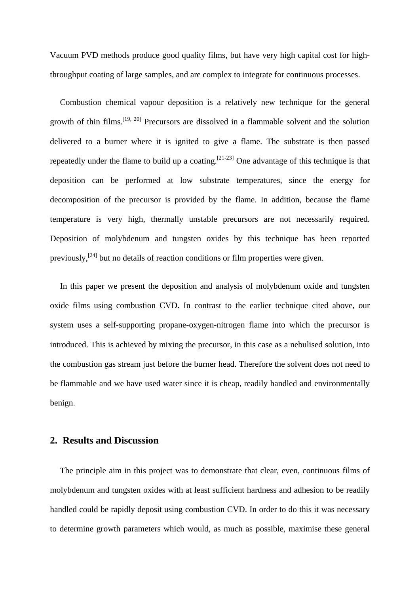Vacuum PVD methods produce good quality films, but have very high capital cost for highthroughput coating of large samples, and are complex to integrate for continuous processes.

Combustion chemical vapour deposition is a relatively new technique for the general growth of thin films.<sup>[19, 20]</sup> Precursors are dissolved in a flammable solvent and the solution delivered to a burner where it is ignited to give a flame. The substrate is then passed repeatedly under the flame to build up a coating.<sup>[21-23]</sup> One advantage of this technique is that deposition can be performed at low substrate temperatures, since the energy for decomposition of the precursor is provided by the flame. In addition, because the flame temperature is very high, thermally unstable precursors are not necessarily required. Deposition of molybdenum and tungsten oxides by this technique has been reported previously,  $[24]$  but no details of reaction conditions or film properties were given.

In this paper we present the deposition and analysis of molybdenum oxide and tungsten oxide films using combustion CVD. In contrast to the earlier technique cited above, our system uses a self-supporting propane-oxygen-nitrogen flame into which the precursor is introduced. This is achieved by mixing the precursor, in this case as a nebulised solution, into the combustion gas stream just before the burner head. Therefore the solvent does not need to be flammable and we have used water since it is cheap, readily handled and environmentally benign.

## **2. Results and Discussion**

The principle aim in this project was to demonstrate that clear, even, continuous films of molybdenum and tungsten oxides with at least sufficient hardness and adhesion to be readily handled could be rapidly deposit using combustion CVD. In order to do this it was necessary to determine growth parameters which would, as much as possible, maximise these general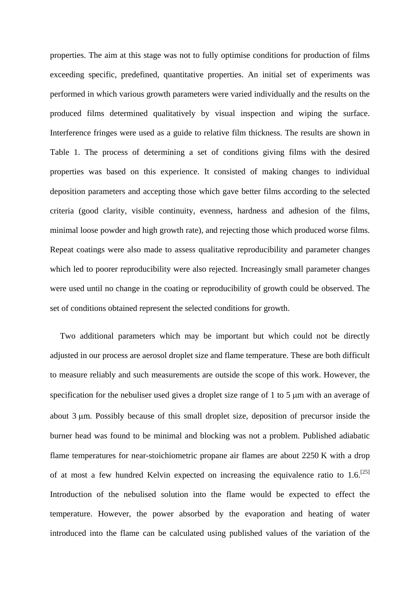properties. The aim at this stage was not to fully optimise conditions for production of films exceeding specific, predefined, quantitative properties. An initial set of experiments was performed in which various growth parameters were varied individually and the results on the produced films determined qualitatively by visual inspection and wiping the surface. Interference fringes were used as a guide to relative film thickness. The results are shown in Table 1. The process of determining a set of conditions giving films with the desired properties was based on this experience. It consisted of making changes to individual deposition parameters and accepting those which gave better films according to the selected criteria (good clarity, visible continuity, evenness, hardness and adhesion of the films, minimal loose powder and high growth rate), and rejecting those which produced worse films. Repeat coatings were also made to assess qualitative reproducibility and parameter changes which led to poorer reproducibility were also rejected. Increasingly small parameter changes were used until no change in the coating or reproducibility of growth could be observed. The set of conditions obtained represent the selected conditions for growth.

Two additional parameters which may be important but which could not be directly adjusted in our process are aerosol droplet size and flame temperature. These are both difficult to measure reliably and such measurements are outside the scope of this work. However, the specification for the nebuliser used gives a droplet size range of 1 to 5 μm with an average of about 3 μm. Possibly because of this small droplet size, deposition of precursor inside the burner head was found to be minimal and blocking was not a problem. Published adiabatic flame temperatures for near-stoichiometric propane air flames are about 2250 K with a drop of at most a few hundred Kelvin expected on increasing the equivalence ratio to  $1.6$ <sup>[25]</sup> Introduction of the nebulised solution into the flame would be expected to effect the temperature. However, the power absorbed by the evaporation and heating of water introduced into the flame can be calculated using published values of the variation of the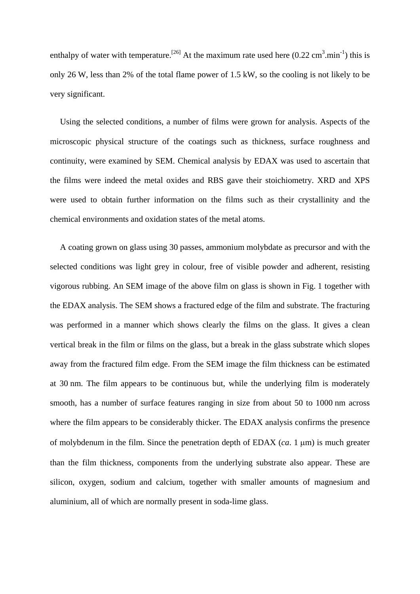enthalpy of water with temperature.<sup>[26]</sup> At the maximum rate used here  $(0.22 \text{ cm}^3 \text{.} \text{min}^{-1})$  this is only 26 W, less than 2% of the total flame power of 1.5 kW, so the cooling is not likely to be very significant.

Using the selected conditions, a number of films were grown for analysis. Aspects of the microscopic physical structure of the coatings such as thickness, surface roughness and continuity, were examined by SEM. Chemical analysis by EDAX was used to ascertain that the films were indeed the metal oxides and RBS gave their stoichiometry. XRD and XPS were used to obtain further information on the films such as their crystallinity and the chemical environments and oxidation states of the metal atoms.

A coating grown on glass using 30 passes, ammonium molybdate as precursor and with the selected conditions was light grey in colour, free of visible powder and adherent, resisting vigorous rubbing. An SEM image of the above film on glass is shown in Fig. 1 together with the EDAX analysis. The SEM shows a fractured edge of the film and substrate. The fracturing was performed in a manner which shows clearly the films on the glass. It gives a clean vertical break in the film or films on the glass, but a break in the glass substrate which slopes away from the fractured film edge. From the SEM image the film thickness can be estimated at 30 nm. The film appears to be continuous but, while the underlying film is moderately smooth, has a number of surface features ranging in size from about 50 to 1000 nm across where the film appears to be considerably thicker. The EDAX analysis confirms the presence of molybdenum in the film. Since the penetration depth of EDAX (*ca*. 1 μm) is much greater than the film thickness, components from the underlying substrate also appear. These are silicon, oxygen, sodium and calcium, together with smaller amounts of magnesium and aluminium, all of which are normally present in soda-lime glass.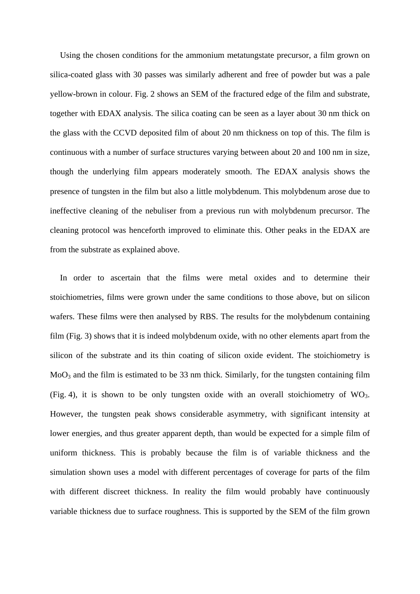Using the chosen conditions for the ammonium metatungstate precursor, a film grown on silica-coated glass with 30 passes was similarly adherent and free of powder but was a pale yellow-brown in colour. Fig. 2 shows an SEM of the fractured edge of the film and substrate, together with EDAX analysis. The silica coating can be seen as a layer about 30 nm thick on the glass with the CCVD deposited film of about 20 nm thickness on top of this. The film is continuous with a number of surface structures varying between about 20 and 100 nm in size, though the underlying film appears moderately smooth. The EDAX analysis shows the presence of tungsten in the film but also a little molybdenum. This molybdenum arose due to ineffective cleaning of the nebuliser from a previous run with molybdenum precursor. The cleaning protocol was henceforth improved to eliminate this. Other peaks in the EDAX are from the substrate as explained above.

In order to ascertain that the films were metal oxides and to determine their stoichiometries, films were grown under the same conditions to those above, but on silicon wafers. These films were then analysed by RBS. The results for the molybdenum containing film (Fig. 3) shows that it is indeed molybdenum oxide, with no other elements apart from the silicon of the substrate and its thin coating of silicon oxide evident. The stoichiometry is MoO<sub>3</sub> and the film is estimated to be 33 nm thick. Similarly, for the tungsten containing film (Fig. 4), it is shown to be only tungsten oxide with an overall stoichiometry of  $WO_3$ . However, the tungsten peak shows considerable asymmetry, with significant intensity at lower energies, and thus greater apparent depth, than would be expected for a simple film of uniform thickness. This is probably because the film is of variable thickness and the simulation shown uses a model with different percentages of coverage for parts of the film with different discreet thickness. In reality the film would probably have continuously variable thickness due to surface roughness. This is supported by the SEM of the film grown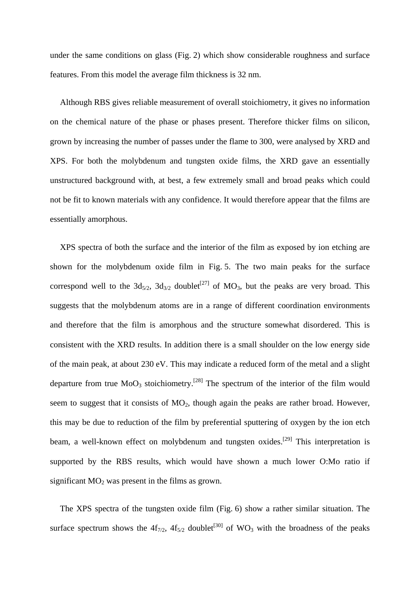under the same conditions on glass (Fig. 2) which show considerable roughness and surface features. From this model the average film thickness is 32 nm.

Although RBS gives reliable measurement of overall stoichiometry, it gives no information on the chemical nature of the phase or phases present. Therefore thicker films on silicon, grown by increasing the number of passes under the flame to 300, were analysed by XRD and XPS. For both the molybdenum and tungsten oxide films, the XRD gave an essentially unstructured background with, at best, a few extremely small and broad peaks which could not be fit to known materials with any confidence. It would therefore appear that the films are essentially amorphous.

XPS spectra of both the surface and the interior of the film as exposed by ion etching are shown for the molybdenum oxide film in Fig. 5. The two main peaks for the surface correspond well to the  $3d_{5/2}$ ,  $3d_{3/2}$  doublet<sup>[27]</sup> of MO<sub>3</sub>, but the peaks are very broad. This suggests that the molybdenum atoms are in a range of different coordination environments and therefore that the film is amorphous and the structure somewhat disordered. This is consistent with the XRD results. In addition there is a small shoulder on the low energy side of the main peak, at about 230 eV. This may indicate a reduced form of the metal and a slight departure from true  $MoO<sub>3</sub>$  stoichiometry.<sup>[28]</sup> The spectrum of the interior of the film would seem to suggest that it consists of  $MO<sub>2</sub>$ , though again the peaks are rather broad. However, this may be due to reduction of the film by preferential sputtering of oxygen by the ion etch beam, a well-known effect on molybdenum and tungsten oxides.<sup>[29]</sup> This interpretation is supported by the RBS results, which would have shown a much lower O:Mo ratio if significant  $MO<sub>2</sub>$  was present in the films as grown.

The XPS spectra of the tungsten oxide film (Fig. 6) show a rather similar situation. The surface spectrum shows the  $4f_{7/2}$ ,  $4f_{5/2}$  doublet<sup>[30]</sup> of WO<sub>3</sub> with the broadness of the peaks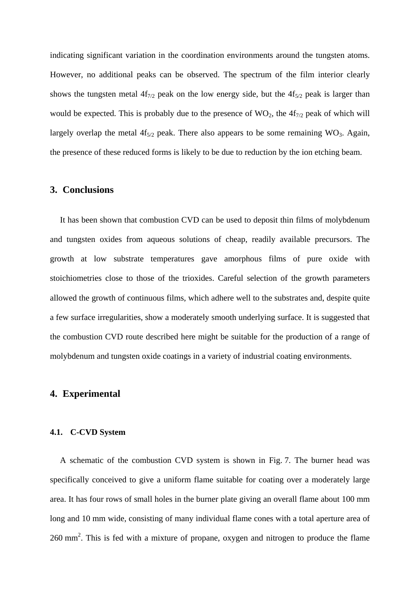indicating significant variation in the coordination environments around the tungsten atoms. However, no additional peaks can be observed. The spectrum of the film interior clearly shows the tungsten metal  $4f_{7/2}$  peak on the low energy side, but the  $4f_{5/2}$  peak is larger than would be expected. This is probably due to the presence of  $WO_2$ , the  $4f_{7/2}$  peak of which will largely overlap the metal  $4f_{5/2}$  peak. There also appears to be some remaining WO<sub>3</sub>. Again, the presence of these reduced forms is likely to be due to reduction by the ion etching beam.

## **3. Conclusions**

It has been shown that combustion CVD can be used to deposit thin films of molybdenum and tungsten oxides from aqueous solutions of cheap, readily available precursors. The growth at low substrate temperatures gave amorphous films of pure oxide with stoichiometries close to those of the trioxides. Careful selection of the growth parameters allowed the growth of continuous films, which adhere well to the substrates and, despite quite a few surface irregularities, show a moderately smooth underlying surface. It is suggested that the combustion CVD route described here might be suitable for the production of a range of molybdenum and tungsten oxide coatings in a variety of industrial coating environments.

## **4. Experimental**

#### **4.1. C-CVD System**

A schematic of the combustion CVD system is shown in Fig. 7. The burner head was specifically conceived to give a uniform flame suitable for coating over a moderately large area. It has four rows of small holes in the burner plate giving an overall flame about 100 mm long and 10 mm wide, consisting of many individual flame cones with a total aperture area of  $260$  mm<sup>2</sup>. This is fed with a mixture of propane, oxygen and nitrogen to produce the flame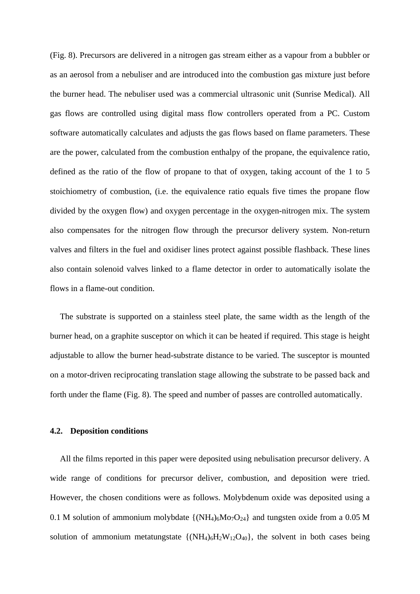(Fig. 8). Precursors are delivered in a nitrogen gas stream either as a vapour from a bubbler or as an aerosol from a nebuliser and are introduced into the combustion gas mixture just before the burner head. The nebuliser used was a commercial ultrasonic unit (Sunrise Medical). All gas flows are controlled using digital mass flow controllers operated from a PC. Custom software automatically calculates and adjusts the gas flows based on flame parameters. These are the power, calculated from the combustion enthalpy of the propane, the equivalence ratio, defined as the ratio of the flow of propane to that of oxygen, taking account of the 1 to 5 stoichiometry of combustion, (i.e. the equivalence ratio equals five times the propane flow divided by the oxygen flow) and oxygen percentage in the oxygen-nitrogen mix. The system also compensates for the nitrogen flow through the precursor delivery system. Non-return valves and filters in the fuel and oxidiser lines protect against possible flashback. These lines also contain solenoid valves linked to a flame detector in order to automatically isolate the flows in a flame-out condition.

The substrate is supported on a stainless steel plate, the same width as the length of the burner head, on a graphite susceptor on which it can be heated if required. This stage is height adjustable to allow the burner head-substrate distance to be varied. The susceptor is mounted on a motor-driven reciprocating translation stage allowing the substrate to be passed back and forth under the flame (Fig. 8). The speed and number of passes are controlled automatically.

#### **4.2. Deposition conditions**

All the films reported in this paper were deposited using nebulisation precursor delivery. A wide range of conditions for precursor deliver, combustion, and deposition were tried. However, the chosen conditions were as follows. Molybdenum oxide was deposited using a 0.1 M solution of ammonium molybdate  $\{(\text{NH}_4)_6\text{Mo}_7\text{O}_{24}\}\$  and tungsten oxide from a 0.05 M solution of ammonium metatungstate  $\{(\text{NH}_4)_6\text{H}_2\text{W}_{12}\text{O}_{40}\}$ , the solvent in both cases being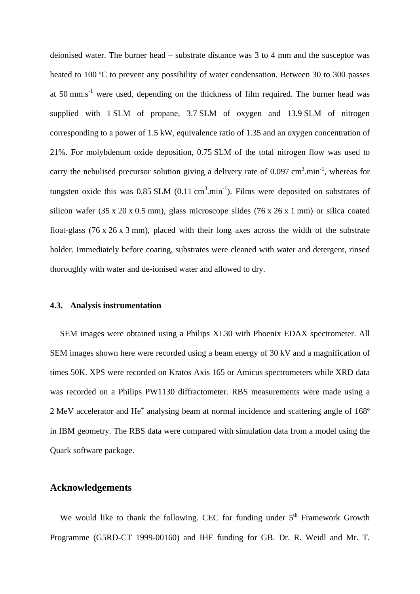deionised water. The burner head – substrate distance was 3 to 4 mm and the susceptor was heated to 100 °C to prevent any possibility of water condensation. Between 30 to 300 passes at 50 mm.s<sup>-1</sup> were used, depending on the thickness of film required. The burner head was supplied with 1 SLM of propane, 3.7 SLM of oxygen and 13.9 SLM of nitrogen corresponding to a power of 1.5 kW, equivalence ratio of 1.35 and an oxygen concentration of 21%. For molybdenum oxide deposition, 0.75 SLM of the total nitrogen flow was used to carry the nebulised precursor solution giving a delivery rate of  $0.097 \text{ cm}^3 \text{ min}^{-1}$ , whereas for tungsten oxide this was 0.85 SLM  $(0.11 \text{ cm}^3 \text{.} \text{min}^{-1})$ . Films were deposited on substrates of silicon wafer (35 x 20 x 0.5 mm), glass microscope slides (76 x 26 x 1 mm) or silica coated float-glass (76 x 26 x 3 mm), placed with their long axes across the width of the substrate holder. Immediately before coating, substrates were cleaned with water and detergent, rinsed thoroughly with water and de-ionised water and allowed to dry.

#### **4.3. Analysis instrumentation**

SEM images were obtained using a Philips XL30 with Phoenix EDAX spectrometer. All SEM images shown here were recorded using a beam energy of 30 kV and a magnification of times 50K. XPS were recorded on Kratos Axis 165 or Amicus spectrometers while XRD data was recorded on a Philips PW1130 diffractometer. RBS measurements were made using a 2 MeV accelerator and He<sup>+</sup> analysing beam at normal incidence and scattering angle of 168° in IBM geometry. The RBS data were compared with simulation data from a model using the Quark software package.

### **Acknowledgements**

We would like to thank the following. CEC for funding under  $5<sup>th</sup>$  Framework Growth Programme (G5RD-CT 1999-00160) and IHF funding for GB. Dr. R. Weidl and Mr. T.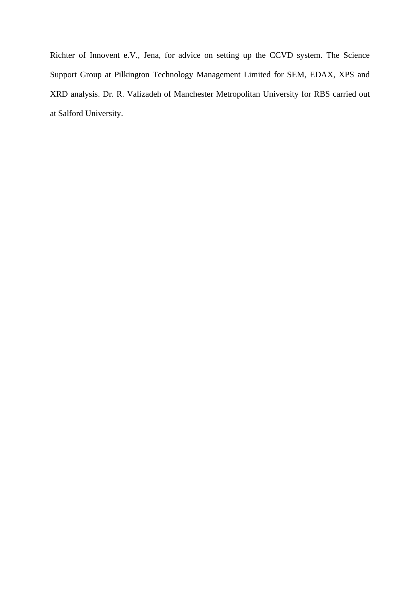Richter of Innovent e.V., Jena, for advice on setting up the CCVD system. The Science Support Group at Pilkington Technology Management Limited for SEM, EDAX, XPS and XRD analysis. Dr. R. Valizadeh of Manchester Metropolitan University for RBS carried out at Salford University.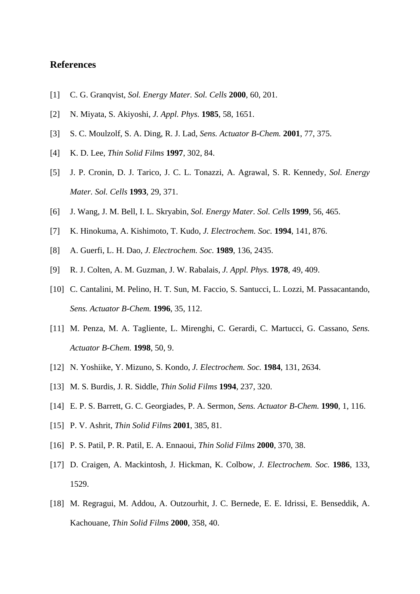## **References**

- [1] C. G. Granqvist, *Sol. Energy Mater. Sol. Cells* **2000**, 60, 201.
- [2] N. Miyata, S. Akiyoshi, *J. Appl. Phys.* **1985**, 58, 1651.
- [3] S. C. Moulzolf, S. A. Ding, R. J. Lad, *Sens. Actuator B-Chem.* **2001**, 77, 375.
- [4] K. D. Lee, *Thin Solid Films* **1997**, 302, 84.
- [5] J. P. Cronin, D. J. Tarico, J. C. L. Tonazzi, A. Agrawal, S. R. Kennedy, *Sol. Energy Mater. Sol. Cells* **1993**, 29, 371.
- [6] J. Wang, J. M. Bell, I. L. Skryabin, *Sol. Energy Mater. Sol. Cells* **1999**, 56, 465.
- [7] K. Hinokuma, A. Kishimoto, T. Kudo, *J. Electrochem. Soc.* **1994**, 141, 876.
- [8] A. Guerfi, L. H. Dao, *J. Electrochem. Soc.* **1989**, 136, 2435.
- [9] R. J. Colten, A. M. Guzman, J. W. Rabalais, *J. Appl. Phys.* **1978**, 49, 409.
- [10] C. Cantalini, M. Pelino, H. T. Sun, M. Faccio, S. Santucci, L. Lozzi, M. Passacantando, *Sens. Actuator B-Chem.* **1996**, 35, 112.
- [11] M. Penza, M. A. Tagliente, L. Mirenghi, C. Gerardi, C. Martucci, G. Cassano, *Sens. Actuator B-Chem.* **1998**, 50, 9.
- [12] N. Yoshiike, Y. Mizuno, S. Kondo, *J. Electrochem. Soc.* **1984**, 131, 2634.
- [13] M. S. Burdis, J. R. Siddle, *Thin Solid Films* **1994**, 237, 320.
- [14] E. P. S. Barrett, G. C. Georgiades, P. A. Sermon, *Sens. Actuator B-Chem.* **1990**, 1, 116.
- [15] P. V. Ashrit, *Thin Solid Films* **2001**, 385, 81.
- [16] P. S. Patil, P. R. Patil, E. A. Ennaoui, *Thin Solid Films* **2000**, 370, 38.
- [17] D. Craigen, A. Mackintosh, J. Hickman, K. Colbow, *J. Electrochem. Soc.* **1986**, 133, 1529.
- [18] M. Regragui, M. Addou, A. Outzourhit, J. C. Bernede, E. E. Idrissi, E. Benseddik, A. Kachouane, *Thin Solid Films* **2000**, 358, 40.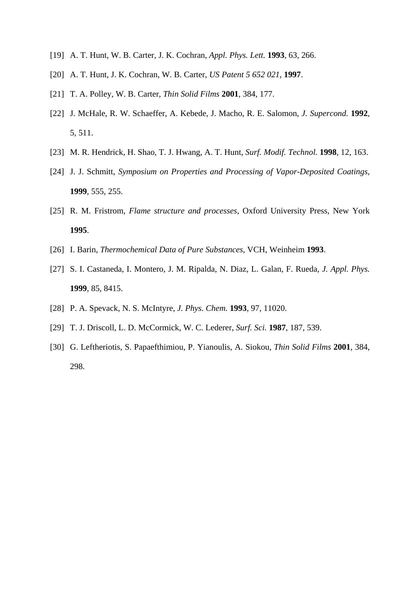- [19] A. T. Hunt, W. B. Carter, J. K. Cochran, *Appl. Phys. Lett.* **1993**, 63, 266.
- [20] A. T. Hunt, J. K. Cochran, W. B. Carter, *US Patent 5 652 021*, **1997**.
- [21] T. A. Polley, W. B. Carter, *Thin Solid Films* **2001**, 384, 177.
- [22] J. McHale, R. W. Schaeffer, A. Kebede, J. Macho, R. E. Salomon, *J. Supercond.* **1992**, 5, 511.
- [23] M. R. Hendrick, H. Shao, T. J. Hwang, A. T. Hunt, *Surf. Modif. Technol.* **1998**, 12, 163.
- [24] J. J. Schmitt, *Symposium on Properties and Processing of Vapor-Deposited Coatings*, **1999**, 555, 255.
- [25] R. M. Fristrom, *Flame structure and processes*, Oxford University Press, New York **1995**.
- [26] I. Barin, *Thermochemical Data of Pure Substances*, VCH, Weinheim **1993**.
- [27] S. I. Castaneda, I. Montero, J. M. Ripalda, N. Diaz, L. Galan, F. Rueda, *J. Appl. Phys.* **1999**, 85, 8415.
- [28] P. A. Spevack, N. S. McIntyre, *J. Phys. Chem.* **1993**, 97, 11020.
- [29] T. J. Driscoll, L. D. McCormick, W. C. Lederer, *Surf. Sci.* **1987**, 187, 539.
- [30] G. Leftheriotis, S. Papaefthimiou, P. Yianoulis, A. Siokou, *Thin Solid Films* **2001**, 384, 298.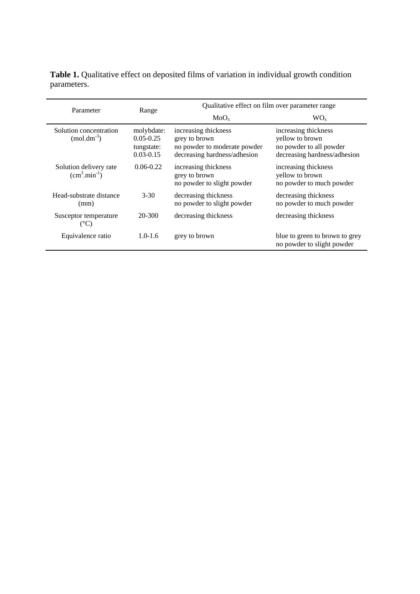**Table 1.** Qualitative effect on deposited films of variation in individual growth condition parameters.

| Parameter                                  | Range                                                      | Qualitative effect on film over parameter range                                                       |                                                                                                    |  |
|--------------------------------------------|------------------------------------------------------------|-------------------------------------------------------------------------------------------------------|----------------------------------------------------------------------------------------------------|--|
|                                            |                                                            | MoO <sub>x</sub>                                                                                      | WO <sub>x</sub>                                                                                    |  |
| Solution concentration<br>$(mod .dm^{-3})$ | molybdate:<br>$0.05 - 0.25$<br>tungstate:<br>$0.03 - 0.15$ | increasing thickness<br>grey to brown<br>no powder to moderate powder<br>decreasing hardness/adhesion | increasing thickness<br>yellow to brown<br>no powder to all powder<br>decreasing hardness/adhesion |  |
| Solution delivery rate<br>$(cm3.min-1)$    | $0.06 - 0.22$                                              | increasing thickness<br>grey to brown<br>no powder to slight powder                                   | increasing thickness<br>yellow to brown<br>no powder to much powder                                |  |
| Head-substrate distance<br>(mm)            | $3 - 30$                                                   | decreasing thickness<br>no powder to slight powder                                                    | decreasing thickness<br>no powder to much powder                                                   |  |
| Susceptor temperature<br>(°C)              | 20-300                                                     | decreasing thickness                                                                                  | decreasing thickness                                                                               |  |
| Equivalence ratio                          | $1.0 - 1.6$                                                | grey to brown                                                                                         | blue to green to brown to grey<br>no powder to slight powder                                       |  |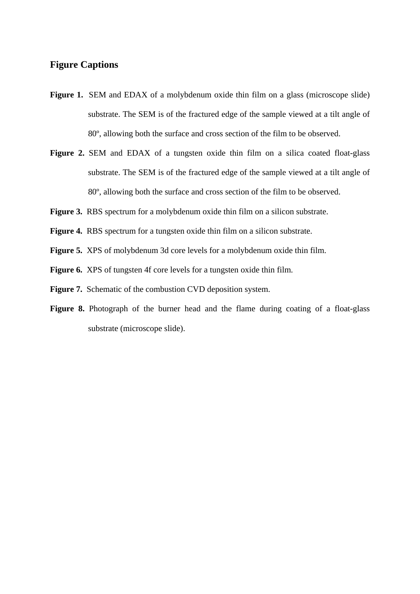## **Figure Captions**

- **Figure 1.** SEM and EDAX of a molybdenum oxide thin film on a glass (microscope slide) substrate. The SEM is of the fractured edge of the sample viewed at a tilt angle of 80º, allowing both the surface and cross section of the film to be observed.
- Figure 2. SEM and EDAX of a tungsten oxide thin film on a silica coated float-glass substrate. The SEM is of the fractured edge of the sample viewed at a tilt angle of 80º, allowing both the surface and cross section of the film to be observed.
- **Figure 3.** RBS spectrum for a molybdenum oxide thin film on a silicon substrate.
- Figure 4. RBS spectrum for a tungsten oxide thin film on a silicon substrate.
- **Figure 5.** XPS of molybdenum 3d core levels for a molybdenum oxide thin film.
- **Figure 6.** XPS of tungsten 4f core levels for a tungsten oxide thin film.
- Figure 7. Schematic of the combustion CVD deposition system.
- Figure 8. Photograph of the burner head and the flame during coating of a float-glass substrate (microscope slide).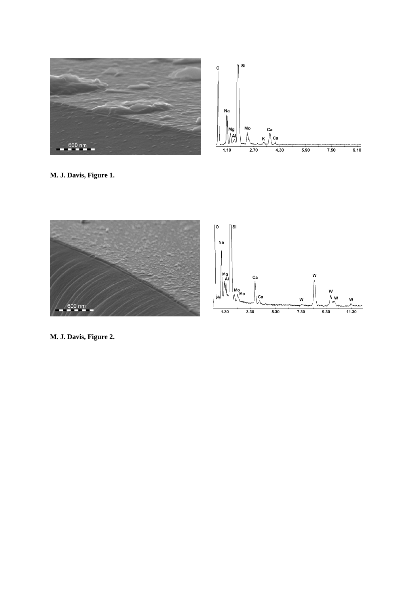



**M. J. Davis, Figure 1.**



**M. J. Davis, Figure 2.**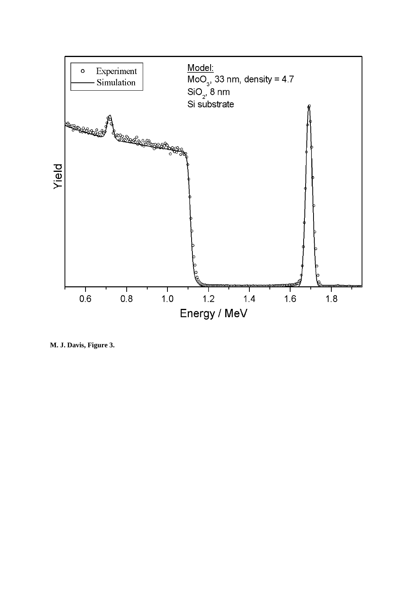

**M. J. Davis, Figure 3.**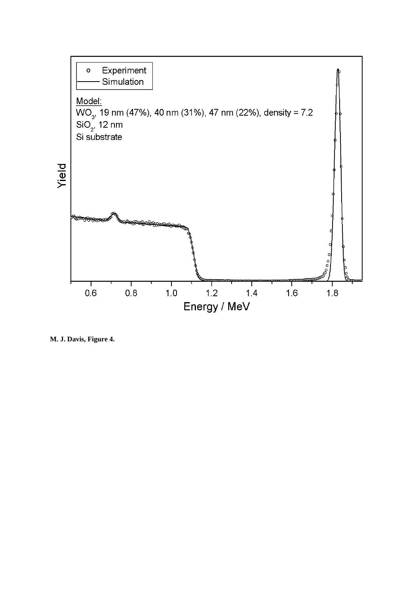

**M. J. Davis, Figure 4.**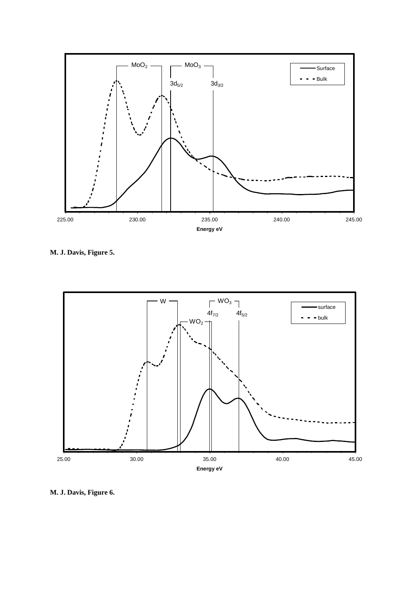

**M. J. Davis, Figure 5.**



**M. J. Davis, Figure 6.**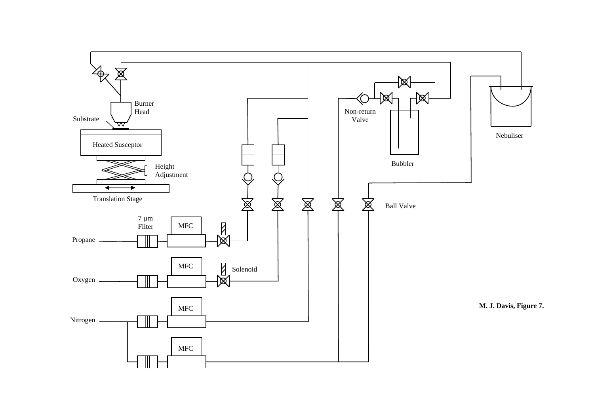